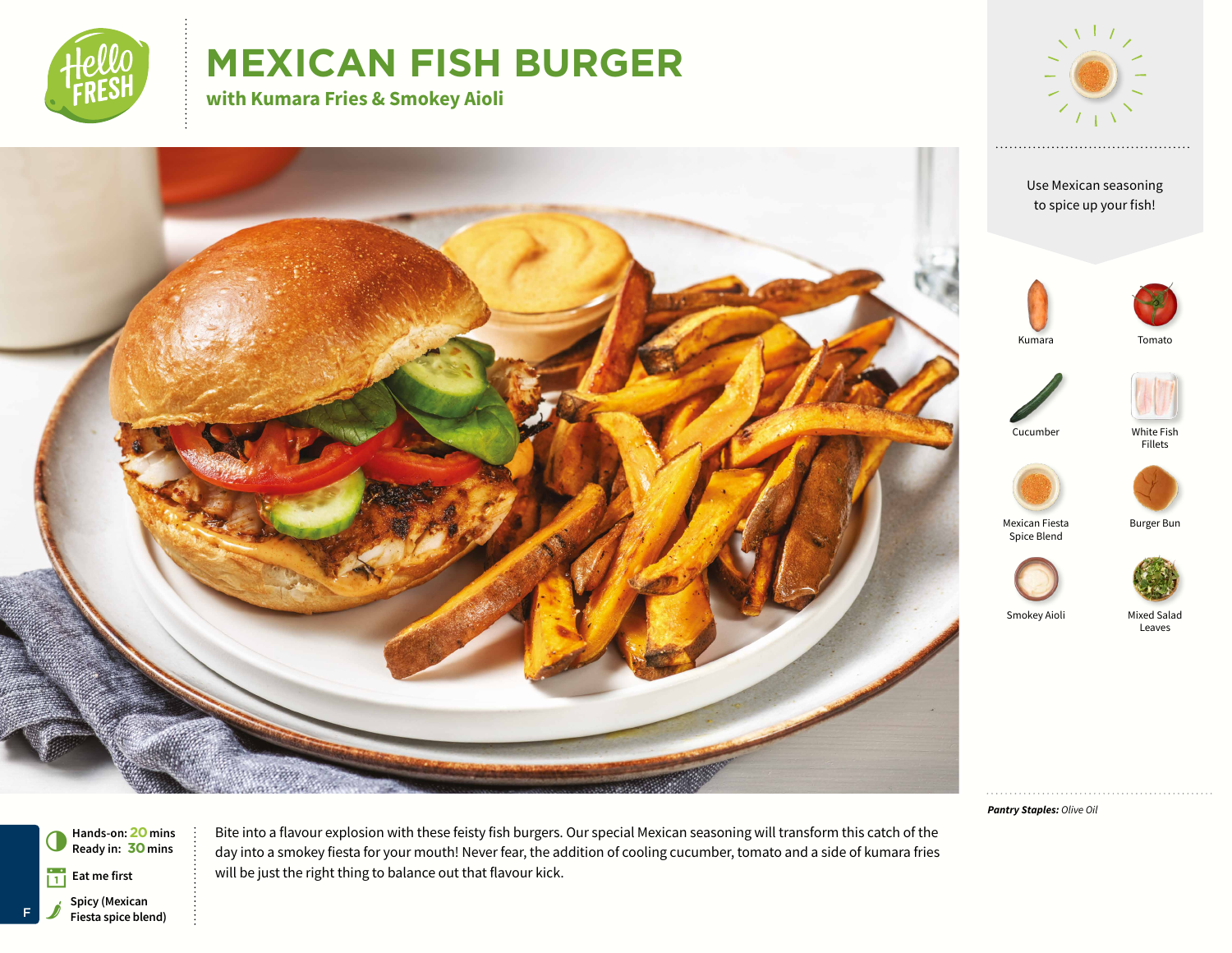

# **MEXICAN FISH BURGER**

**with Kumara Fries & Smokey Aioli**



Use Mexican seasoning to spice up your fish!









White Fish Fillets







Mixed Salad Leaves

*Pantry Staples: Olive Oil*



Bite into a flavour explosion with these feisty fish burgers. Our special Mexican seasoning will transform this catch of the day into a smokey fiesta for your mouth! Never fear, the addition of cooling cucumber, tomato and a side of kumara fries will be just the right thing to balance out that flavour kick.